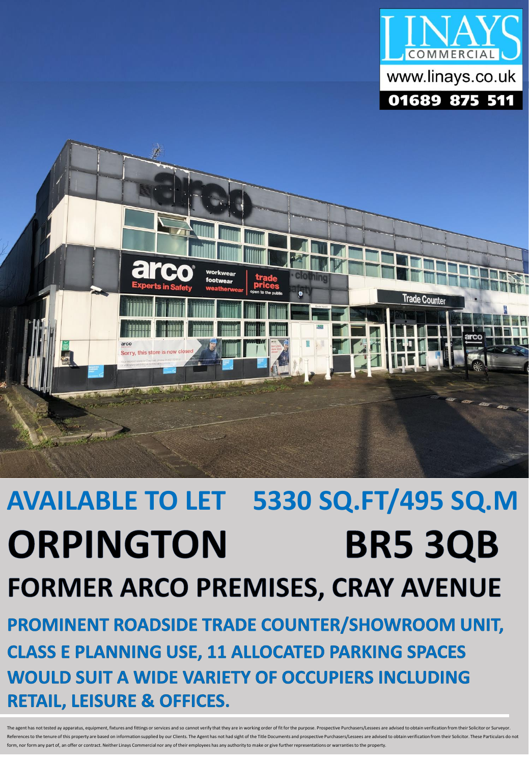



# **AVAILABLE TO LET 5330 SQ.FT/495 SQ.M BR5 3QB ORPINGTON FORMER ARCO PREMISES, CRAY AVENUE**

PROMINENT ROADSIDE TRADE COUNTER/SHOWROOM UNIT, **CLASS E PLANNING USE, 11 ALLOCATED PARKING SPACES WOULD SUIT A WIDE VARIETY OF OCCUPIERS INCLUDING RETAIL, LEISURE & OFFICES.** 

The agent has not tested ay apparatus, equipment, fixtures and fittings or services and so cannot verify that they are in working order of fit for the purpose. Prospective Purchasers/Lessees are advised to obtain verificat ure of this property are based on information sunnlied by our Clients. The Agent has not had sight of the Title Documents and prospective Purchasers/Lesses are advised to obtain verification from their Solicitor. These Par arranties to the property